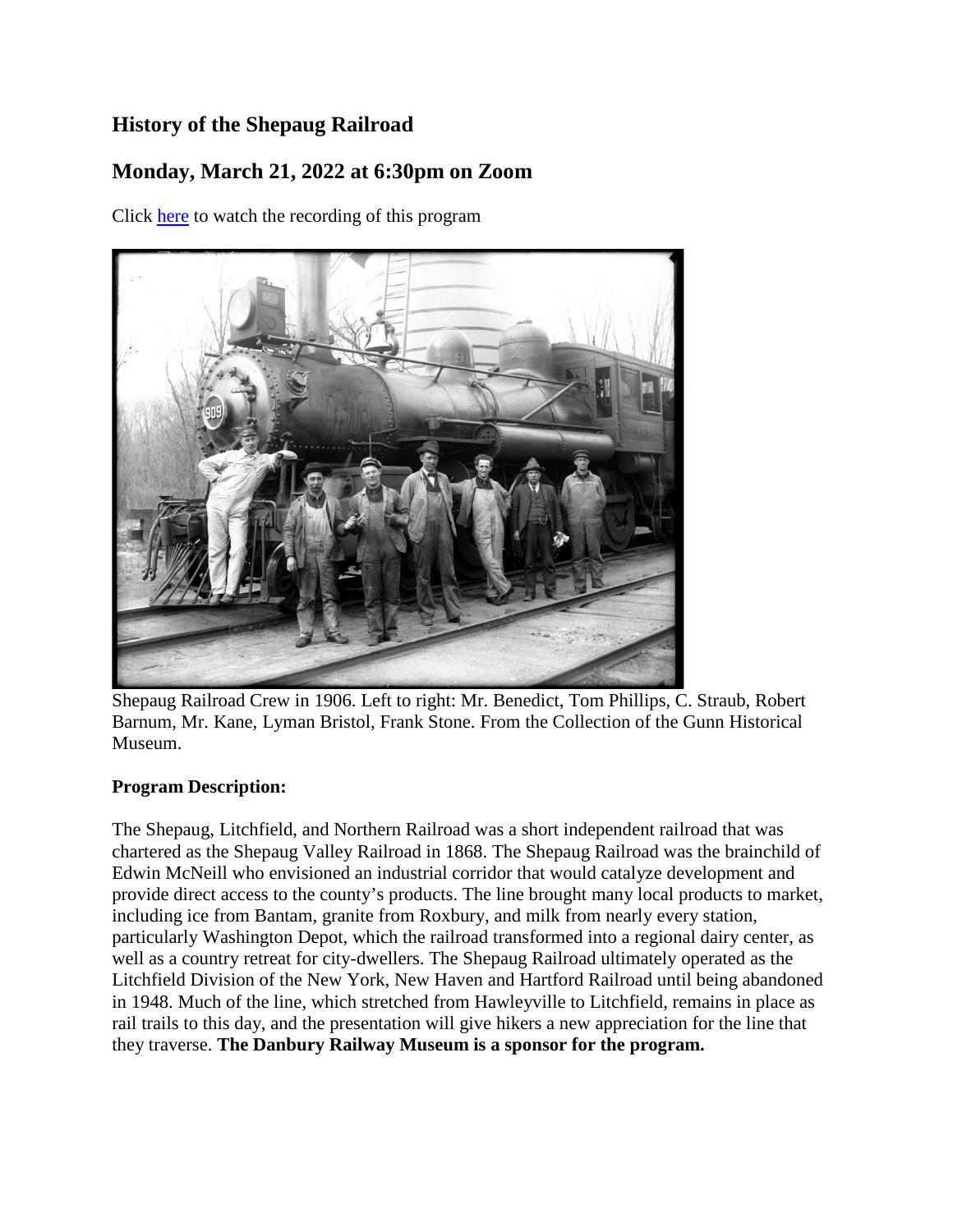## **History of the Shepaug Railroad**

## **Monday, March 21, 2022 at 6:30pm on Zoom**

Click [here](https://youtu.be/XJmcnKlNbUM) to watch the recording of this program



Shepaug Railroad Crew in 1906. Left to right: Mr. Benedict, Tom Phillips, C. Straub, Robert Barnum, Mr. Kane, Lyman Bristol, Frank Stone. From the Collection of the Gunn Historical Museum.

## **Program Description:**

The Shepaug, Litchfield, and Northern Railroad was a short independent railroad that was chartered as the Shepaug Valley Railroad in 1868. The Shepaug Railroad was the brainchild of Edwin McNeill who envisioned an industrial corridor that would catalyze development and provide direct access to the county's products. The line brought many local products to market, including ice from Bantam, granite from Roxbury, and milk from nearly every station, particularly Washington Depot, which the railroad transformed into a regional dairy center, as well as a country retreat for city-dwellers. The Shepaug Railroad ultimately operated as the Litchfield Division of the New York, New Haven and Hartford Railroad until being abandoned in 1948. Much of the line, which stretched from Hawleyville to Litchfield, remains in place as rail trails to this day, and the presentation will give hikers a new appreciation for the line that they traverse. **The Danbury Railway Museum is a sponsor for the program.**